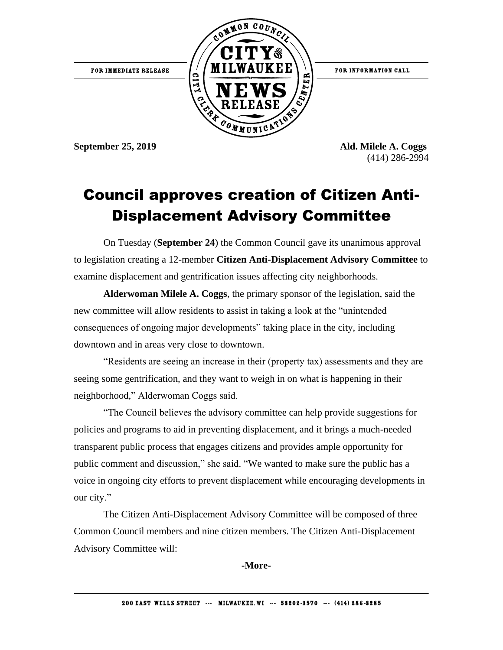FOR IMMEDIATE RELEASE



FOR INFORMATION CALL

**September 25, 2019 Ald. Milele A. Coggs** (414) 286-2994

## Council approves creation of Citizen Anti-Displacement Advisory Committee

On Tuesday (**September 24**) the Common Council gave its unanimous approval to legislation creating a 12-member **Citizen Anti-Displacement Advisory Committee** to examine displacement and gentrification issues affecting city neighborhoods.

**Alderwoman Milele A. Coggs**, the primary sponsor of the legislation, said the new committee will allow residents to assist in taking a look at the "unintended consequences of ongoing major developments" taking place in the city, including downtown and in areas very close to downtown.

"Residents are seeing an increase in their (property tax) assessments and they are seeing some gentrification, and they want to weigh in on what is happening in their neighborhood," Alderwoman Coggs said.

"The Council believes the advisory committee can help provide suggestions for policies and programs to aid in preventing displacement, and it brings a much-needed transparent public process that engages citizens and provides ample opportunity for public comment and discussion," she said. "We wanted to make sure the public has a voice in ongoing city efforts to prevent displacement while encouraging developments in our city."

The Citizen Anti-Displacement Advisory Committee will be composed of three Common Council members and nine citizen members. The Citizen Anti-Displacement Advisory Committee will:

**-More-**